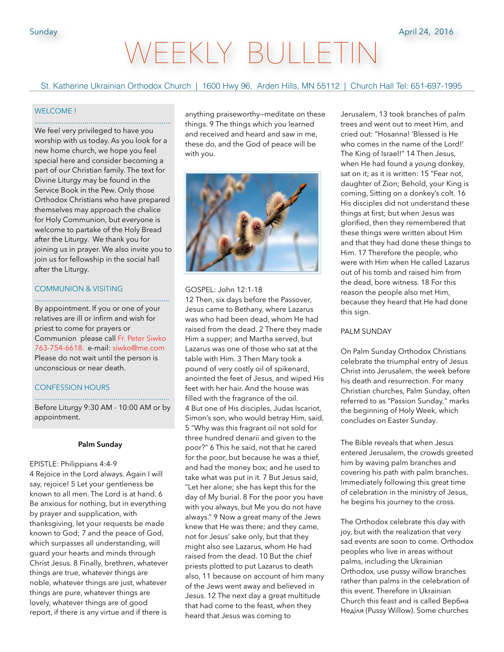# WEEKLY BULLET

St. Katherine Ukrainian Orthodox Church | 1600 Hwy 96, Arden Hills, MN 55112 | Church Hall Tel: 651-697-1995

#### WELCOME !

....................................................................... We feel very privileged to have you worship with us today. As you look for a new home church, we hope you feel special here and consider becoming a part of our Christian family. The text for Divine Liturgy may be found in the Service Book in the Pew. Only those Orthodox Christians who have prepared themselves may approach the chalice for Holy Communion, but everyone is welcome to partake of the Holy Bread after the Liturgy. We thank you for joining us in prayer. We also invite you to join us for fellowship in the social hall after the Liturgy.

#### COMMUNION & VISITING

By appointment. If you or one of your relatives are ill or infirm and wish for priest to come for prayers or Communion please call Fr. Peter Siwko 763-754-6618. e-mail: siwko@me.com Please do not wait until the person is unconscious or near death.

......................................................................

#### CONFESSION HOURS

...................................................................... Before Liturgy 9:30 AM - 10:00 AM or by appointment.

#### **Palm Sunday**

EPISTLE: Philippians 4:4-9 4 Rejoice in the Lord always. Again I will say, rejoice! 5 Let your gentleness be known to all men. The Lord is at hand. 6 Be anxious for nothing, but in everything by prayer and supplication, with thanksgiving, let your requests be made known to God; 7 and the peace of God, which surpasses all understanding, will guard your hearts and minds through Christ Jesus. 8 Finally, brethren, whatever things are true, whatever things are noble, whatever things are just, whatever things are pure, whatever things are lovely, whatever things are of good report, if there is any virtue and if there is

anything praiseworthy—meditate on these things. 9 The things which you learned and received and heard and saw in me, these do, and the God of peace will be with you.



#### GOSPEL: John 12:1-18

12 Then, six days before the Passover, Jesus came to Bethany, where Lazarus was who had been dead, whom He had raised from the dead. 2 There they made Him a supper; and Martha served, but Lazarus was one of those who sat at the table with Him. 3 Then Mary took a pound of very costly oil of spikenard, anointed the feet of Jesus, and wiped His feet with her hair. And the house was filled with the fragrance of the oil. 4 But one of His disciples, Judas Iscariot, Simon's son, who would betray Him, said, 5 "Why was this fragrant oil not sold for three hundred denarii and given to the poor?" 6 This he said, not that he cared for the poor, but because he was a thief, and had the money box; and he used to take what was put in it. 7 But Jesus said, "Let her alone; she has kept this for the day of My burial. 8 For the poor you have with you always, but Me you do not have always." 9 Now a great many of the Jews knew that He was there; and they came, not for Jesus' sake only, but that they might also see Lazarus, whom He had raised from the dead. 10 But the chief priests plotted to put Lazarus to death also, 11 because on account of him many of the Jews went away and believed in Jesus. 12 The next day a great multitude that had come to the feast, when they heard that Jesus was coming to

Jerusalem, 13 took branches of palm trees and went out to meet Him, and cried out: "Hosanna! 'Blessed is He who comes in the name of the Lord!' The King of Israel!" 14 Then Jesus, when He had found a young donkey, sat on it; as it is written: 15 "Fear not, daughter of Zion; Behold, your King is coming, Sitting on a donkey's colt. 16 His disciples did not understand these things at first; but when Jesus was glorified, then they remembered that these things were written about Him and that they had done these things to Him. 17 Therefore the people, who were with Him when He called Lazarus out of his tomb and raised him from the dead, bore witness. 18 For this reason the people also met Him, because they heard that He had done this sign.

# PALM SUNDAY

On Palm Sunday Orthodox Christians celebrate the triumphal entry of Jesus Christ into Jerusalem, the week before his death and resurrection. For many Christian churches, Palm Sunday, often referred to as "Passion Sunday," marks the beginning of Holy Week, which concludes on Easter Sunday.

The Bible reveals that when Jesus entered Jerusalem, the crowds greeted him by waving palm branches and covering his path with palm branches. Immediately following this great time of celebration in the ministry of Jesus, he begins his journey to the cross.

The Orthodox celebrate this day with joy, but with the realization that very sad events are soon to come. Orthodox peoples who live in areas without palms, including the Ukrainian Orthodox, use pussy willow branches rather than palms in the celebration of this event. Therefore in Ukrainian Church this feast and is called Вербнa Неділя (Pussy Willow). Some churches